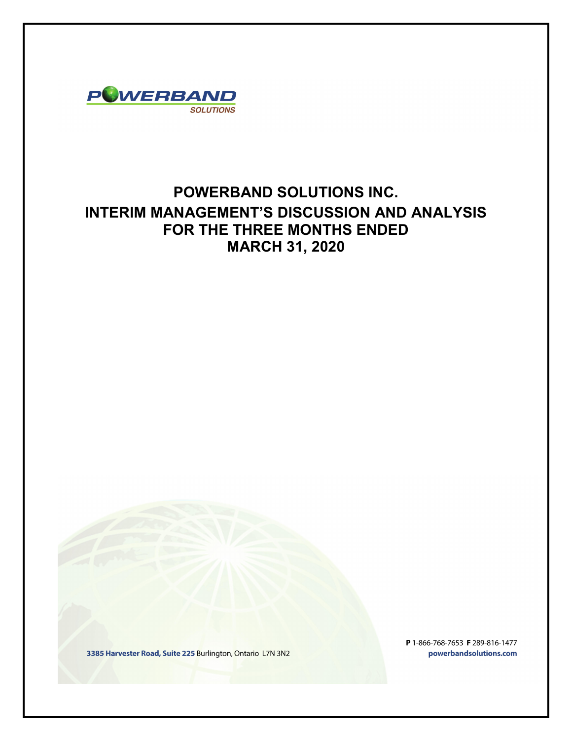

# **POWERBAND SOLUTIONS INC. INTERIM MANAGEMENT'S DISCUSSION AND ANALYSIS FOR THE THREE MONTHS ENDED MARCH 31, 2020**

3385 Harvester Road, Suite 225 Burlington, Ontario L7N 3N2

P 1-866-768-7653 F 289-816-1477 powerbandsolutions.com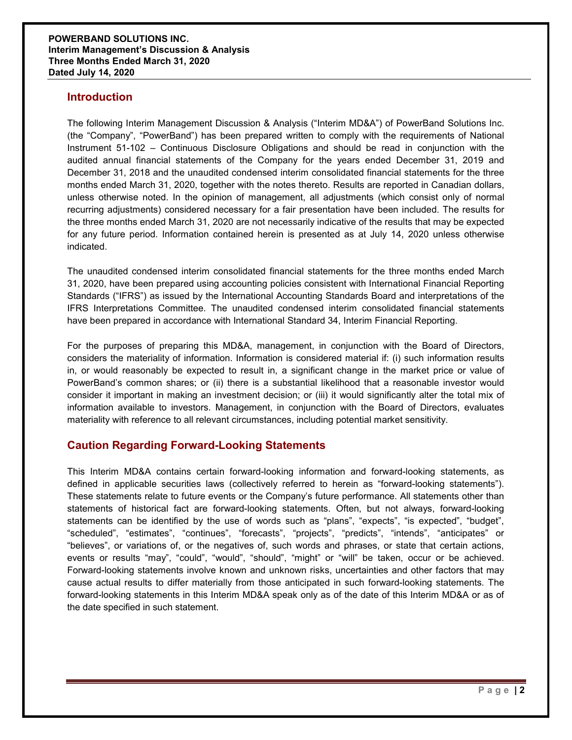### **Introduction**

The following Interim Management Discussion & Analysis ("Interim MD&A") of PowerBand Solutions Inc. (the "Company", "PowerBand") has been prepared written to comply with the requirements of National Instrument 51-102 – Continuous Disclosure Obligations and should be read in conjunction with the audited annual financial statements of the Company for the years ended December 31, 2019 and December 31, 2018 and the unaudited condensed interim consolidated financial statements for the three months ended March 31, 2020, together with the notes thereto. Results are reported in Canadian dollars, unless otherwise noted. In the opinion of management, all adjustments (which consist only of normal recurring adjustments) considered necessary for a fair presentation have been included. The results for the three months ended March 31, 2020 are not necessarily indicative of the results that may be expected for any future period. Information contained herein is presented as at July 14, 2020 unless otherwise indicated.

The unaudited condensed interim consolidated financial statements for the three months ended March 31, 2020, have been prepared using accounting policies consistent with International Financial Reporting Standards ("IFRS") as issued by the International Accounting Standards Board and interpretations of the IFRS Interpretations Committee. The unaudited condensed interim consolidated financial statements have been prepared in accordance with International Standard 34, Interim Financial Reporting.

For the purposes of preparing this MD&A, management, in conjunction with the Board of Directors, considers the materiality of information. Information is considered material if: (i) such information results in, or would reasonably be expected to result in, a significant change in the market price or value of PowerBand's common shares; or (ii) there is a substantial likelihood that a reasonable investor would consider it important in making an investment decision; or (iii) it would significantly alter the total mix of information available to investors. Management, in conjunction with the Board of Directors, evaluates materiality with reference to all relevant circumstances, including potential market sensitivity.

# **Caution Regarding Forward-Looking Statements**

This Interim MD&A contains certain forward-looking information and forward-looking statements, as defined in applicable securities laws (collectively referred to herein as "forward-looking statements"). These statements relate to future events or the Company's future performance. All statements other than statements of historical fact are forward-looking statements. Often, but not always, forward-looking statements can be identified by the use of words such as "plans", "expects", "is expected", "budget", "scheduled", "estimates", "continues", "forecasts", "projects", "predicts", "intends", "anticipates" or "believes", or variations of, or the negatives of, such words and phrases, or state that certain actions, events or results "may", "could", "would", "should", "might" or "will" be taken, occur or be achieved. Forward-looking statements involve known and unknown risks, uncertainties and other factors that may cause actual results to differ materially from those anticipated in such forward-looking statements. The forward-looking statements in this Interim MD&A speak only as of the date of this Interim MD&A or as of the date specified in such statement.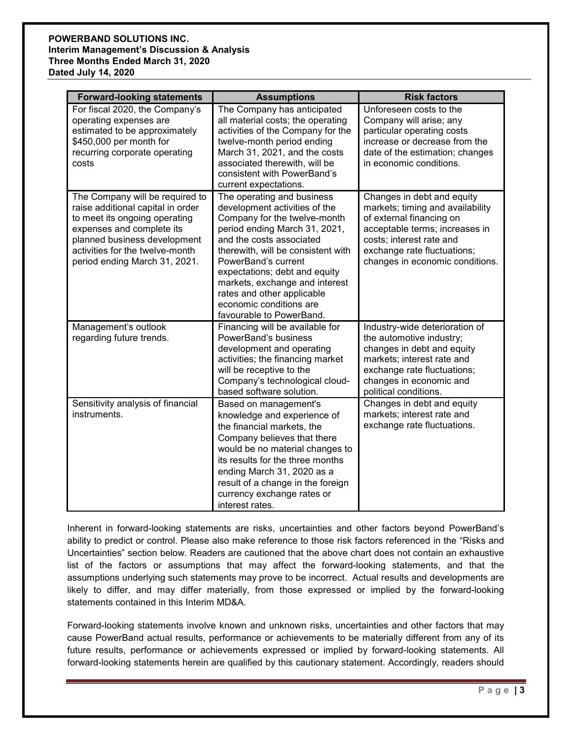#### **POWERBAND SOLUTIONS INC. Interim Management's Discussion & Analysis Three Months Ended March 31, 2020 Dated July 14, 2020**

| <b>Forward-looking statements</b>                                                                                                                                                                                                      | <b>Assumptions</b>                                                                                                                                                                                                                                                                                                                                                            | <b>Risk factors</b>                                                                                                                                                                                                        |
|----------------------------------------------------------------------------------------------------------------------------------------------------------------------------------------------------------------------------------------|-------------------------------------------------------------------------------------------------------------------------------------------------------------------------------------------------------------------------------------------------------------------------------------------------------------------------------------------------------------------------------|----------------------------------------------------------------------------------------------------------------------------------------------------------------------------------------------------------------------------|
| For fiscal 2020, the Company's<br>operating expenses are<br>estimated to be approximately<br>\$450,000 per month for<br>recurring corporate operating<br>costs                                                                         | The Company has anticipated<br>all material costs; the operating<br>activities of the Company for the<br>twelve-month period ending<br>March 31, 2021, and the costs<br>associated therewith, will be<br>consistent with PowerBand's<br>current expectations.                                                                                                                 | Unforeseen costs to the<br>Company will arise; any<br>particular operating costs<br>increase or decrease from the<br>date of the estimation; changes<br>in economic conditions.                                            |
| The Company will be required to<br>raise additional capital in order<br>to meet its ongoing operating<br>expenses and complete its<br>planned business development<br>activities for the twelve-month<br>period ending March 31, 2021. | The operating and business<br>development activities of the<br>Company for the twelve-month<br>period ending March 31, 2021,<br>and the costs associated<br>therewith, will be consistent with<br>PowerBand's current<br>expectations; debt and equity<br>markets, exchange and interest<br>rates and other applicable<br>economic conditions are<br>favourable to PowerBand. | Changes in debt and equity<br>markets; timing and availability<br>of external financing on<br>acceptable terms; increases in<br>costs; interest rate and<br>exchange rate fluctuations;<br>changes in economic conditions. |
| Management's outlook<br>regarding future trends.                                                                                                                                                                                       | Financing will be available for<br>PowerBand's business<br>development and operating<br>activities; the financing market<br>will be receptive to the<br>Company's technological cloud-<br>based software solution.                                                                                                                                                            | Industry-wide deterioration of<br>the automotive industry;<br>changes in debt and equity<br>markets; interest rate and<br>exchange rate fluctuations;<br>changes in economic and<br>political conditions.                  |
| Sensitivity analysis of financial<br>instruments.                                                                                                                                                                                      | Based on management's<br>knowledge and experience of<br>the financial markets, the<br>Company believes that there<br>would be no material changes to<br>its results for the three months<br>ending March 31, 2020 as a<br>result of a change in the foreign<br>currency exchange rates or<br>interest rates.                                                                  | Changes in debt and equity<br>markets; interest rate and<br>exchange rate fluctuations.                                                                                                                                    |

Inherent in forward-looking statements are risks, uncertainties and other factors beyond PowerBand's ability to predict or control. Please also make reference to those risk factors referenced in the "Risks and Uncertainties" section below. Readers are cautioned that the above chart does not contain an exhaustive list of the factors or assumptions that may affect the forward-looking statements, and that the assumptions underlying such statements may prove to be incorrect. Actual results and developments are likely to differ, and may differ materially, from those expressed or implied by the forward-looking statements contained in this Interim MD&A.

Forward-looking statements involve known and unknown risks, uncertainties and other factors that may cause PowerBand actual results, performance or achievements to be materially different from any of its future results, performance or achievements expressed or implied by forward-looking statements. All forward-looking statements herein are qualified by this cautionary statement. Accordingly, readers should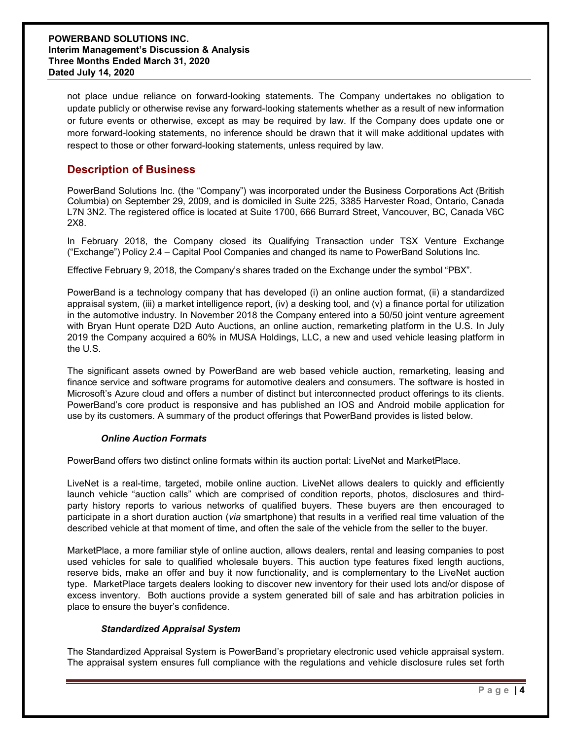not place undue reliance on forward-looking statements. The Company undertakes no obligation to update publicly or otherwise revise any forward-looking statements whether as a result of new information or future events or otherwise, except as may be required by law. If the Company does update one or more forward-looking statements, no inference should be drawn that it will make additional updates with respect to those or other forward-looking statements, unless required by law.

# **Description of Business**

PowerBand Solutions Inc. (the "Company") was incorporated under the Business Corporations Act (British Columbia) on September 29, 2009, and is domiciled in Suite 225, 3385 Harvester Road, Ontario, Canada L7N 3N2. The registered office is located at Suite 1700, 666 Burrard Street, Vancouver, BC, Canada V6C 2X8.

In February 2018, the Company closed its Qualifying Transaction under TSX Venture Exchange ("Exchange") Policy 2.4 – Capital Pool Companies and changed its name to PowerBand Solutions Inc.

Effective February 9, 2018, the Company's shares traded on the Exchange under the symbol "PBX".

PowerBand is a technology company that has developed (i) an online auction format, (ii) a standardized appraisal system, (iii) a market intelligence report, (iv) a desking tool, and (v) a finance portal for utilization in the automotive industry. In November 2018 the Company entered into a 50/50 joint venture agreement with Bryan Hunt operate D2D Auto Auctions, an online auction, remarketing platform in the U.S. In July 2019 the Company acquired a 60% in MUSA Holdings, LLC, a new and used vehicle leasing platform in the U.S.

The significant assets owned by PowerBand are web based vehicle auction, remarketing, leasing and finance service and software programs for automotive dealers and consumers. The software is hosted in Microsoft's Azure cloud and offers a number of distinct but interconnected product offerings to its clients. PowerBand's core product is responsive and has published an IOS and Android mobile application for use by its customers. A summary of the product offerings that PowerBand provides is listed below.

#### *Online Auction Formats*

PowerBand offers two distinct online formats within its auction portal: LiveNet and MarketPlace.

LiveNet is a real-time, targeted, mobile online auction. LiveNet allows dealers to quickly and efficiently launch vehicle "auction calls" which are comprised of condition reports, photos, disclosures and thirdparty history reports to various networks of qualified buyers. These buyers are then encouraged to participate in a short duration auction (*via* smartphone) that results in a verified real time valuation of the described vehicle at that moment of time, and often the sale of the vehicle from the seller to the buyer.

MarketPlace, a more familiar style of online auction, allows dealers, rental and leasing companies to post used vehicles for sale to qualified wholesale buyers. This auction type features fixed length auctions, reserve bids, make an offer and buy it now functionality, and is complementary to the LiveNet auction type. MarketPlace targets dealers looking to discover new inventory for their used lots and/or dispose of excess inventory. Both auctions provide a system generated bill of sale and has arbitration policies in place to ensure the buyer's confidence.

### *Standardized Appraisal System*

The Standardized Appraisal System is PowerBand's proprietary electronic used vehicle appraisal system. The appraisal system ensures full compliance with the regulations and vehicle disclosure rules set forth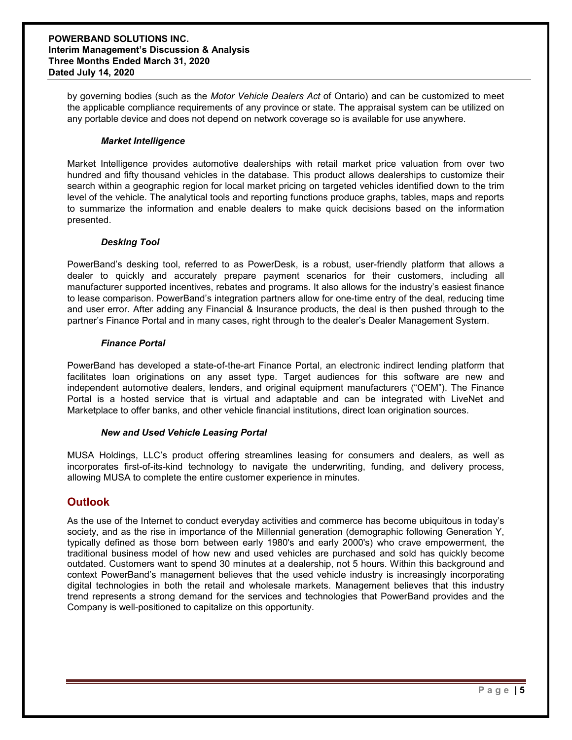by governing bodies (such as the *Motor Vehicle Dealers Act* of Ontario) and can be customized to meet the applicable compliance requirements of any province or state. The appraisal system can be utilized on any portable device and does not depend on network coverage so is available for use anywhere.

#### *Market Intelligence*

Market Intelligence provides automotive dealerships with retail market price valuation from over two hundred and fifty thousand vehicles in the database. This product allows dealerships to customize their search within a geographic region for local market pricing on targeted vehicles identified down to the trim level of the vehicle. The analytical tools and reporting functions produce graphs, tables, maps and reports to summarize the information and enable dealers to make quick decisions based on the information presented.

### *Desking Tool*

PowerBand's desking tool, referred to as PowerDesk, is a robust, user-friendly platform that allows a dealer to quickly and accurately prepare payment scenarios for their customers, including all manufacturer supported incentives, rebates and programs. It also allows for the industry's easiest finance to lease comparison. PowerBand's integration partners allow for one-time entry of the deal, reducing time and user error. After adding any Financial & Insurance products, the deal is then pushed through to the partner's Finance Portal and in many cases, right through to the dealer's Dealer Management System.

### *Finance Portal*

PowerBand has developed a state-of-the-art Finance Portal, an electronic indirect lending platform that facilitates loan originations on any asset type. Target audiences for this software are new and independent automotive dealers, lenders, and original equipment manufacturers ("OEM"). The Finance Portal is a hosted service that is virtual and adaptable and can be integrated with LiveNet and Marketplace to offer banks, and other vehicle financial institutions, direct loan origination sources.

#### *New and Used Vehicle Leasing Portal*

MUSA Holdings, LLC's product offering streamlines leasing for consumers and dealers, as well as incorporates first-of-its-kind technology to navigate the underwriting, funding, and delivery process, allowing MUSA to complete the entire customer experience in minutes.

### **Outlook**

As the use of the Internet to conduct everyday activities and commerce has become ubiquitous in today's society, and as the rise in importance of the Millennial generation (demographic following Generation Y, typically defined as those born between early 1980's and early 2000's) who crave empowerment, the traditional business model of how new and used vehicles are purchased and sold has quickly become outdated. Customers want to spend 30 minutes at a dealership, not 5 hours. Within this background and context PowerBand's management believes that the used vehicle industry is increasingly incorporating digital technologies in both the retail and wholesale markets. Management believes that this industry trend represents a strong demand for the services and technologies that PowerBand provides and the Company is well-positioned to capitalize on this opportunity.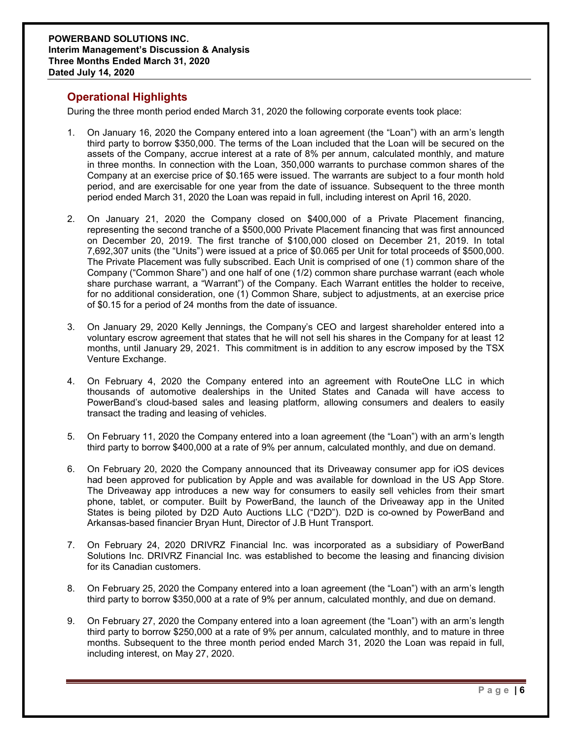# **Operational Highlights**

During the three month period ended March 31, 2020 the following corporate events took place:

- 1. On January 16, 2020 the Company entered into a loan agreement (the "Loan") with an arm's length third party to borrow \$350,000. The terms of the Loan included that the Loan will be secured on the assets of the Company, accrue interest at a rate of 8% per annum, calculated monthly, and mature in three months. In connection with the Loan, 350,000 warrants to purchase common shares of the Company at an exercise price of \$0.165 were issued. The warrants are subject to a four month hold period, and are exercisable for one year from the date of issuance. Subsequent to the three month period ended March 31, 2020 the Loan was repaid in full, including interest on April 16, 2020.
- 2. On January 21, 2020 the Company closed on \$400,000 of a Private Placement financing, representing the second tranche of a \$500,000 Private Placement financing that was first announced on December 20, 2019. The first tranche of \$100,000 closed on December 21, 2019. In total 7,692,307 units (the "Units") were issued at a price of \$0.065 per Unit for total proceeds of \$500,000. The Private Placement was fully subscribed. Each Unit is comprised of one (1) common share of the Company ("Common Share") and one half of one (1/2) common share purchase warrant (each whole share purchase warrant, a "Warrant") of the Company. Each Warrant entitles the holder to receive, for no additional consideration, one (1) Common Share, subject to adjustments, at an exercise price of \$0.15 for a period of 24 months from the date of issuance.
- 3. On January 29, 2020 Kelly Jennings, the Company's CEO and largest shareholder entered into a voluntary escrow agreement that states that he will not sell his shares in the Company for at least 12 months, until January 29, 2021. This commitment is in addition to any escrow imposed by the TSX Venture Exchange.
- 4. On February 4, 2020 the Company entered into an agreement with RouteOne LLC in which thousands of automotive dealerships in the United States and Canada will have access to PowerBand's cloud-based sales and leasing platform, allowing consumers and dealers to easily transact the trading and leasing of vehicles.
- 5. On February 11, 2020 the Company entered into a loan agreement (the "Loan") with an arm's length third party to borrow \$400,000 at a rate of 9% per annum, calculated monthly, and due on demand.
- 6. On February 20, 2020 the Company announced that its Driveaway consumer app for iOS devices had been approved for publication by Apple and was available for download in the US App Store. The Driveaway app introduces a new way for consumers to easily sell vehicles from their smart phone, tablet, or computer. Built by PowerBand, the launch of the Driveaway app in the United States is being piloted by D2D Auto Auctions LLC ("D2D"). D2D is co-owned by PowerBand and Arkansas-based financier Bryan Hunt, Director of J.B Hunt Transport.
- 7. On February 24, 2020 DRIVRZ Financial Inc. was incorporated as a subsidiary of PowerBand Solutions Inc. DRIVRZ Financial Inc. was established to become the leasing and financing division for its Canadian customers.
- 8. On February 25, 2020 the Company entered into a loan agreement (the "Loan") with an arm's length third party to borrow \$350,000 at a rate of 9% per annum, calculated monthly, and due on demand.
- 9. On February 27, 2020 the Company entered into a loan agreement (the "Loan") with an arm's length third party to borrow \$250,000 at a rate of 9% per annum, calculated monthly, and to mature in three months. Subsequent to the three month period ended March 31, 2020 the Loan was repaid in full, including interest, on May 27, 2020.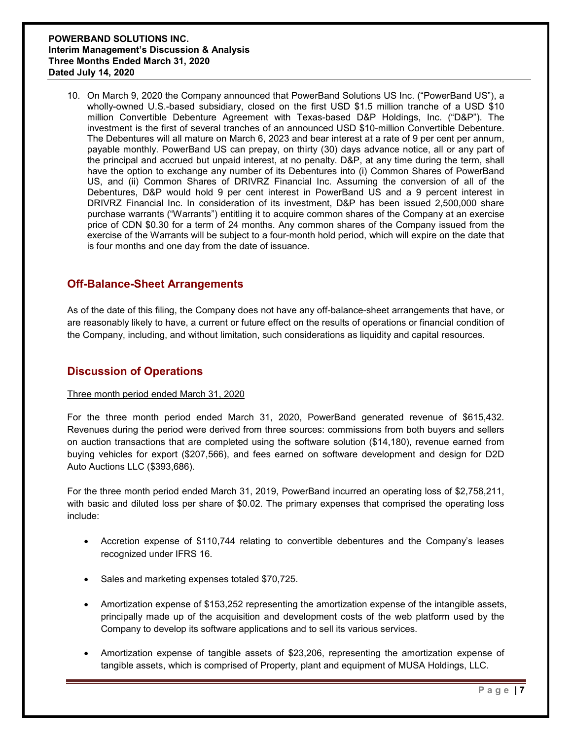10. On March 9, 2020 the Company announced that PowerBand Solutions US Inc. ("PowerBand US"), a wholly-owned U.S.-based subsidiary, closed on the first USD \$1.5 million tranche of a USD \$10 million Convertible Debenture Agreement with Texas-based D&P Holdings, Inc. ("D&P"). The investment is the first of several tranches of an announced USD \$10-million Convertible Debenture. The Debentures will all mature on March 6, 2023 and bear interest at a rate of 9 per cent per annum, payable monthly. PowerBand US can prepay, on thirty (30) days advance notice, all or any part of the principal and accrued but unpaid interest, at no penalty. D&P, at any time during the term, shall have the option to exchange any number of its Debentures into (i) Common Shares of PowerBand US, and (ii) Common Shares of DRIVRZ Financial Inc. Assuming the conversion of all of the Debentures, D&P would hold 9 per cent interest in PowerBand US and a 9 percent interest in DRIVRZ Financial Inc. In consideration of its investment, D&P has been issued 2,500,000 share purchase warrants ("Warrants") entitling it to acquire common shares of the Company at an exercise price of CDN \$0.30 for a term of 24 months. Any common shares of the Company issued from the exercise of the Warrants will be subject to a four-month hold period, which will expire on the date that is four months and one day from the date of issuance.

# **Off-Balance-Sheet Arrangements**

As of the date of this filing, the Company does not have any off-balance-sheet arrangements that have, or are reasonably likely to have, a current or future effect on the results of operations or financial condition of the Company, including, and without limitation, such considerations as liquidity and capital resources.

# **Discussion of Operations**

#### Three month period ended March 31, 2020

For the three month period ended March 31, 2020, PowerBand generated revenue of \$615,432. Revenues during the period were derived from three sources: commissions from both buyers and sellers on auction transactions that are completed using the software solution (\$14,180), revenue earned from buying vehicles for export (\$207,566), and fees earned on software development and design for D2D Auto Auctions LLC (\$393,686).

For the three month period ended March 31, 2019, PowerBand incurred an operating loss of \$2,758,211, with basic and diluted loss per share of \$0.02. The primary expenses that comprised the operating loss include:

- Accretion expense of \$110,744 relating to convertible debentures and the Company's leases recognized under IFRS 16.
- Sales and marketing expenses totaled \$70,725.
- Amortization expense of \$153,252 representing the amortization expense of the intangible assets, principally made up of the acquisition and development costs of the web platform used by the Company to develop its software applications and to sell its various services.
- Amortization expense of tangible assets of \$23,206, representing the amortization expense of tangible assets, which is comprised of Property, plant and equipment of MUSA Holdings, LLC.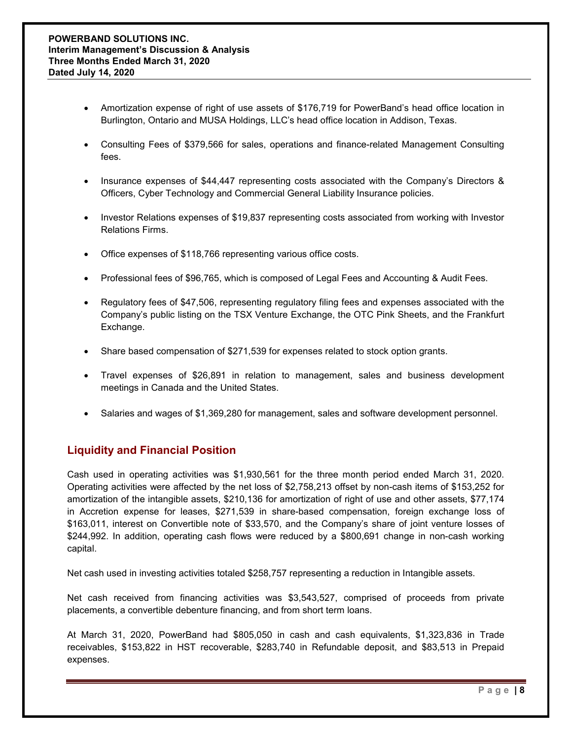- Amortization expense of right of use assets of \$176,719 for PowerBand's head office location in Burlington, Ontario and MUSA Holdings, LLC's head office location in Addison, Texas.
- Consulting Fees of \$379,566 for sales, operations and finance-related Management Consulting fees.
- Insurance expenses of \$44,447 representing costs associated with the Company's Directors & Officers, Cyber Technology and Commercial General Liability Insurance policies.
- Investor Relations expenses of \$19,837 representing costs associated from working with Investor Relations Firms.
- Office expenses of \$118,766 representing various office costs.
- Professional fees of \$96,765, which is composed of Legal Fees and Accounting & Audit Fees.
- Regulatory fees of \$47,506, representing regulatory filing fees and expenses associated with the Company's public listing on the TSX Venture Exchange, the OTC Pink Sheets, and the Frankfurt Exchange.
- Share based compensation of \$271,539 for expenses related to stock option grants.
- Travel expenses of \$26,891 in relation to management, sales and business development meetings in Canada and the United States.
- Salaries and wages of \$1,369,280 for management, sales and software development personnel.

### **Liquidity and Financial Position**

Cash used in operating activities was \$1,930,561 for the three month period ended March 31, 2020. Operating activities were affected by the net loss of \$2,758,213 offset by non-cash items of \$153,252 for amortization of the intangible assets, \$210,136 for amortization of right of use and other assets, \$77,174 in Accretion expense for leases, \$271,539 in share-based compensation, foreign exchange loss of \$163,011, interest on Convertible note of \$33,570, and the Company's share of joint venture losses of \$244,992. In addition, operating cash flows were reduced by a \$800,691 change in non-cash working capital.

Net cash used in investing activities totaled \$258,757 representing a reduction in Intangible assets.

Net cash received from financing activities was \$3,543,527, comprised of proceeds from private placements, a convertible debenture financing, and from short term loans.

At March 31, 2020, PowerBand had \$805,050 in cash and cash equivalents, \$1,323,836 in Trade receivables, \$153,822 in HST recoverable, \$283,740 in Refundable deposit, and \$83,513 in Prepaid expenses.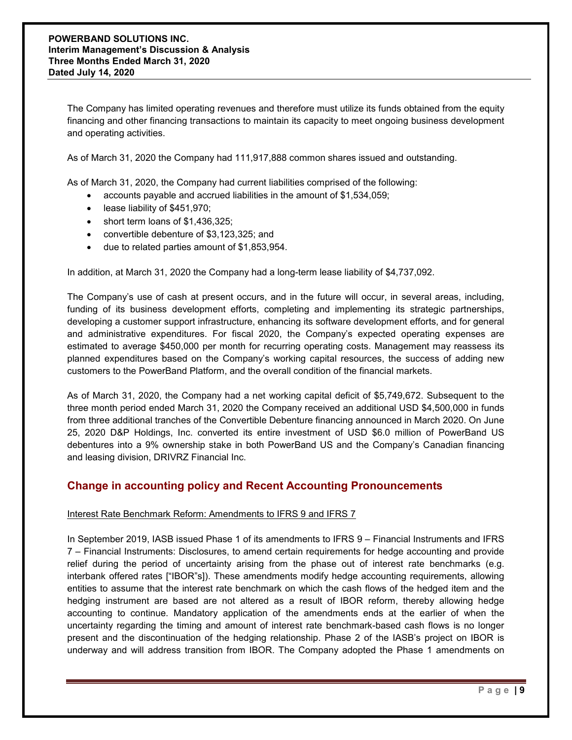The Company has limited operating revenues and therefore must utilize its funds obtained from the equity financing and other financing transactions to maintain its capacity to meet ongoing business development and operating activities.

As of March 31, 2020 the Company had 111,917,888 common shares issued and outstanding.

As of March 31, 2020, the Company had current liabilities comprised of the following:

- accounts payable and accrued liabilities in the amount of \$1,534,059;
- lease liability of \$451,970;
- short term loans of \$1,436,325;
- convertible debenture of \$3,123,325; and
- due to related parties amount of \$1,853,954.

In addition, at March 31, 2020 the Company had a long-term lease liability of \$4,737,092.

The Company's use of cash at present occurs, and in the future will occur, in several areas, including, funding of its business development efforts, completing and implementing its strategic partnerships, developing a customer support infrastructure, enhancing its software development efforts, and for general and administrative expenditures. For fiscal 2020, the Company's expected operating expenses are estimated to average \$450,000 per month for recurring operating costs. Management may reassess its planned expenditures based on the Company's working capital resources, the success of adding new customers to the PowerBand Platform, and the overall condition of the financial markets.

As of March 31, 2020, the Company had a net working capital deficit of \$5,749,672. Subsequent to the three month period ended March 31, 2020 the Company received an additional USD \$4,500,000 in funds from three additional tranches of the Convertible Debenture financing announced in March 2020. On June 25, 2020 D&P Holdings, Inc. converted its entire investment of USD \$6.0 million of PowerBand US debentures into a 9% ownership stake in both PowerBand US and the Company's Canadian financing and leasing division, DRIVRZ Financial Inc.

### **Change in accounting policy and Recent Accounting Pronouncements**

#### Interest Rate Benchmark Reform: Amendments to IFRS 9 and IFRS 7

In September 2019, IASB issued Phase 1 of its amendments to IFRS 9 – Financial Instruments and IFRS 7 – Financial Instruments: Disclosures, to amend certain requirements for hedge accounting and provide relief during the period of uncertainty arising from the phase out of interest rate benchmarks (e.g. interbank offered rates ["IBOR"s]). These amendments modify hedge accounting requirements, allowing entities to assume that the interest rate benchmark on which the cash flows of the hedged item and the hedging instrument are based are not altered as a result of IBOR reform, thereby allowing hedge accounting to continue. Mandatory application of the amendments ends at the earlier of when the uncertainty regarding the timing and amount of interest rate benchmark-based cash flows is no longer present and the discontinuation of the hedging relationship. Phase 2 of the IASB's project on IBOR is underway and will address transition from IBOR. The Company adopted the Phase 1 amendments on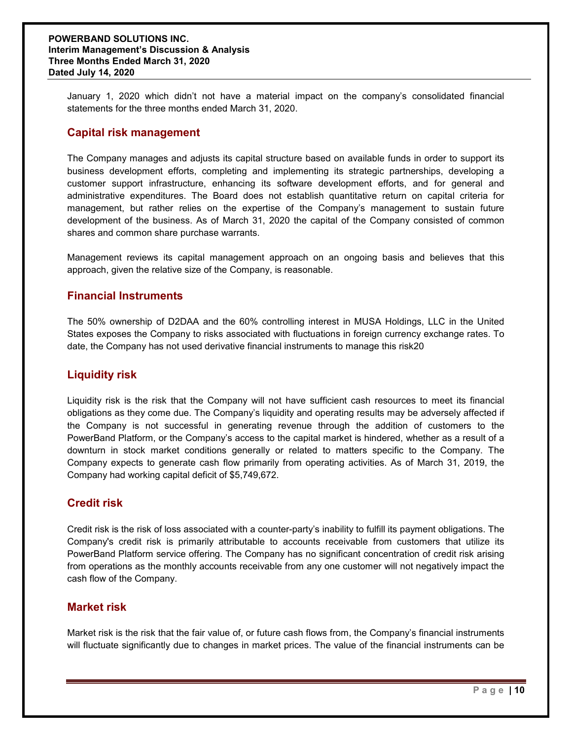January 1, 2020 which didn't not have a material impact on the company's consolidated financial statements for the three months ended March 31, 2020.

# **Capital risk management**

The Company manages and adjusts its capital structure based on available funds in order to support its business development efforts, completing and implementing its strategic partnerships, developing a customer support infrastructure, enhancing its software development efforts, and for general and administrative expenditures. The Board does not establish quantitative return on capital criteria for management, but rather relies on the expertise of the Company's management to sustain future development of the business. As of March 31, 2020 the capital of the Company consisted of common shares and common share purchase warrants.

Management reviews its capital management approach on an ongoing basis and believes that this approach, given the relative size of the Company, is reasonable.

### **Financial Instruments**

The 50% ownership of D2DAA and the 60% controlling interest in MUSA Holdings, LLC in the United States exposes the Company to risks associated with fluctuations in foreign currency exchange rates. To date, the Company has not used derivative financial instruments to manage this risk20

# **Liquidity risk**

Liquidity risk is the risk that the Company will not have sufficient cash resources to meet its financial obligations as they come due. The Company's liquidity and operating results may be adversely affected if the Company is not successful in generating revenue through the addition of customers to the PowerBand Platform, or the Company's access to the capital market is hindered, whether as a result of a downturn in stock market conditions generally or related to matters specific to the Company. The Company expects to generate cash flow primarily from operating activities. As of March 31, 2019, the Company had working capital deficit of \$5,749,672.

### **Credit risk**

Credit risk is the risk of loss associated with a counter-party's inability to fulfill its payment obligations. The Company's credit risk is primarily attributable to accounts receivable from customers that utilize its PowerBand Platform service offering. The Company has no significant concentration of credit risk arising from operations as the monthly accounts receivable from any one customer will not negatively impact the cash flow of the Company.

### **Market risk**

Market risk is the risk that the fair value of, or future cash flows from, the Company's financial instruments will fluctuate significantly due to changes in market prices. The value of the financial instruments can be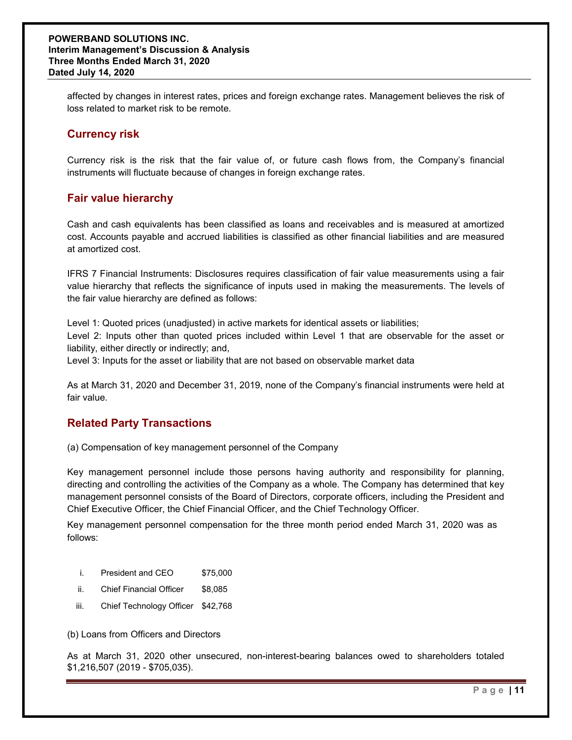#### **POWERBAND SOLUTIONS INC. Interim Management's Discussion & Analysis Three Months Ended March 31, 2020 Dated July 14, 2020**

affected by changes in interest rates, prices and foreign exchange rates. Management believes the risk of loss related to market risk to be remote.

### **Currency risk**

Currency risk is the risk that the fair value of, or future cash flows from, the Company's financial instruments will fluctuate because of changes in foreign exchange rates.

### **Fair value hierarchy**

Cash and cash equivalents has been classified as loans and receivables and is measured at amortized cost. Accounts payable and accrued liabilities is classified as other financial liabilities and are measured at amortized cost.

IFRS 7 Financial Instruments: Disclosures requires classification of fair value measurements using a fair value hierarchy that reflects the significance of inputs used in making the measurements. The levels of the fair value hierarchy are defined as follows:

Level 1: Quoted prices (unadjusted) in active markets for identical assets or liabilities;

Level 2: Inputs other than quoted prices included within Level 1 that are observable for the asset or liability, either directly or indirectly; and,

Level 3: Inputs for the asset or liability that are not based on observable market data

As at March 31, 2020 and December 31, 2019, none of the Company's financial instruments were held at fair value.

# **Related Party Transactions**

(a) Compensation of key management personnel of the Company

Key management personnel include those persons having authority and responsibility for planning, directing and controlling the activities of the Company as a whole. The Company has determined that key management personnel consists of the Board of Directors, corporate officers, including the President and Chief Executive Officer, the Chief Financial Officer, and the Chief Technology Officer.

Key management personnel compensation for the three month period ended March 31, 2020 was as follows:

|  | President and CEO | \$75,000 |
|--|-------------------|----------|
|--|-------------------|----------|

- ii. Chief Financial Officer \$8,085
- iii. Chief Technology Officer \$42,768

(b) Loans from Officers and Directors

As at March 31, 2020 other unsecured, non-interest-bearing balances owed to shareholders totaled \$1,216,507 (2019 - \$705,035).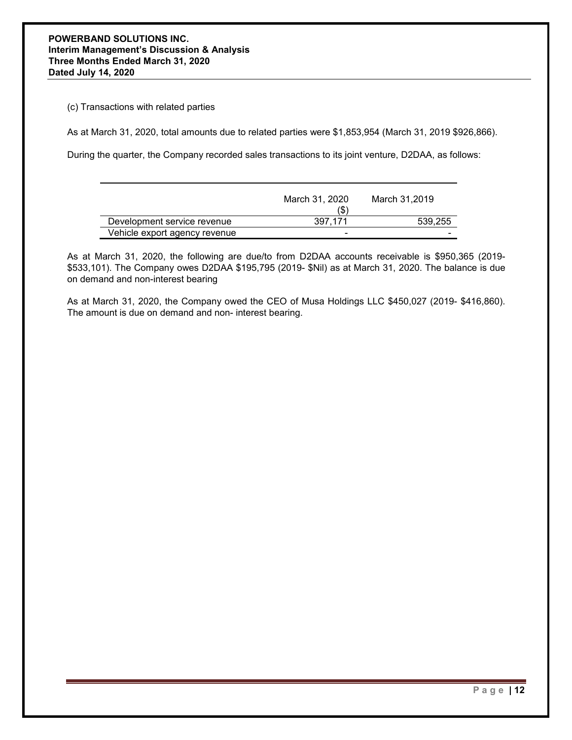#### **POWERBAND SOLUTIONS INC. Interim Management's Discussion & Analysis Three Months Ended March 31, 2020 Dated July 14, 2020**

(c) Transactions with related parties

As at March 31, 2020, total amounts due to related parties were \$1,853,954 (March 31, 2019 \$926,866).

During the quarter, the Company recorded sales transactions to its joint venture, D2DAA, as follows:

|                               | March 31, 2020<br>′\$ | March 31,2019 |
|-------------------------------|-----------------------|---------------|
| Development service revenue   | 397.171               | 539.255       |
| Vehicle export agency revenue | -                     |               |

As at March 31, 2020, the following are due/to from D2DAA accounts receivable is \$950,365 (2019- \$533,101). The Company owes D2DAA \$195,795 (2019- \$Nil) as at March 31, 2020. The balance is due on demand and non-interest bearing

As at March 31, 2020, the Company owed the CEO of Musa Holdings LLC \$450,027 (2019- \$416,860). The amount is due on demand and non- interest bearing.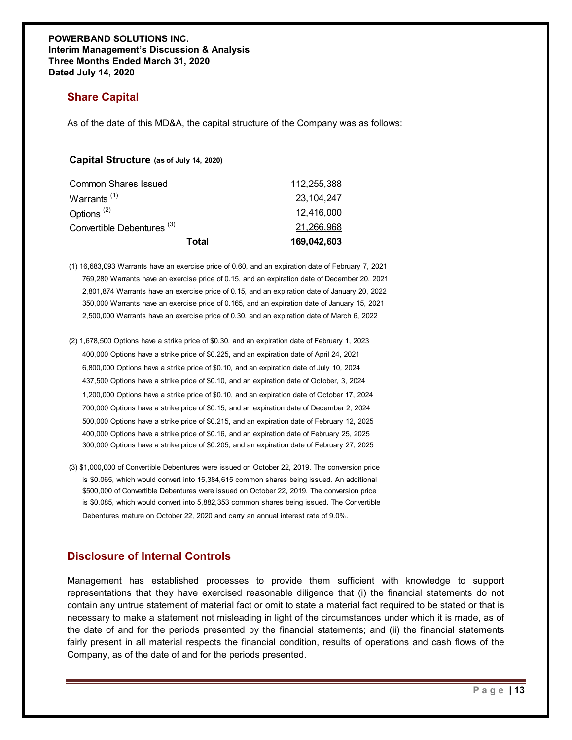# **Share Capital**

As of the date of this MD&A, the capital structure of the Company was as follows:

### **Capital Structure (as of July 14, 2020)**

| 21,266,968<br>169,042,603 |
|---------------------------|
|                           |
| 12,416,000                |
| 23, 104, 247              |
| 112.255.388               |
|                           |

- (1) 16,683,093 Warrants have an exercise price of 0.60, and an expiration date of February 7, 2021 769,280 Warrants have an exercise price of 0.15, and an expiration date of December 20, 2021 2,801,874 Warrants have an exercise price of 0.15, and an expiration date of January 20, 2022 350,000 Warrants have an exercise price of 0.165, and an expiration date of January 15, 2021 2,500,000 Warrants have an exercise price of 0.30, and an expiration date of March 6, 2022
- (2) 1,678,500 Options have a strike price of \$0.30, and an expiration date of February 1, 2023 400,000 Options have a strike price of \$0.225, and an expiration date of April 24, 2021 6,800,000 Options have a strike price of \$0.10, and an expiration date of July 10, 2024 437,500 Options have a strike price of \$0.10, and an expiration date of October, 3, 2024 1,200,000 Options have a strike price of \$0.10, and an expiration date of October 17, 2024 700,000 Options have a strike price of \$0.15, and an expiration date of December 2, 2024 500,000 Options have a strike price of \$0.215, and an expiration date of February 12, 2025 400,000 Options have a strike price of \$0.16, and an expiration date of February 25, 2025 300,000 Options have a strike price of \$0.205, and an expiration date of February 27, 2025
- (3) \$1,000,000 of Convertible Debentures were issued on October 22, 2019. The conversion price is \$0.065, which would convert into 15,384,615 common shares being issued. An additional \$500,000 of Convertible Debentures were issued on October 22, 2019. The conversion price is \$0.085, which would convert into 5,882,353 common shares being issued. The Convertible Debentures mature on October 22, 2020 and carry an annual interest rate of 9.0%.

# **Disclosure of Internal Controls**

Management has established processes to provide them sufficient with knowledge to support representations that they have exercised reasonable diligence that (i) the financial statements do not contain any untrue statement of material fact or omit to state a material fact required to be stated or that is necessary to make a statement not misleading in light of the circumstances under which it is made, as of the date of and for the periods presented by the financial statements; and (ii) the financial statements fairly present in all material respects the financial condition, results of operations and cash flows of the Company, as of the date of and for the periods presented.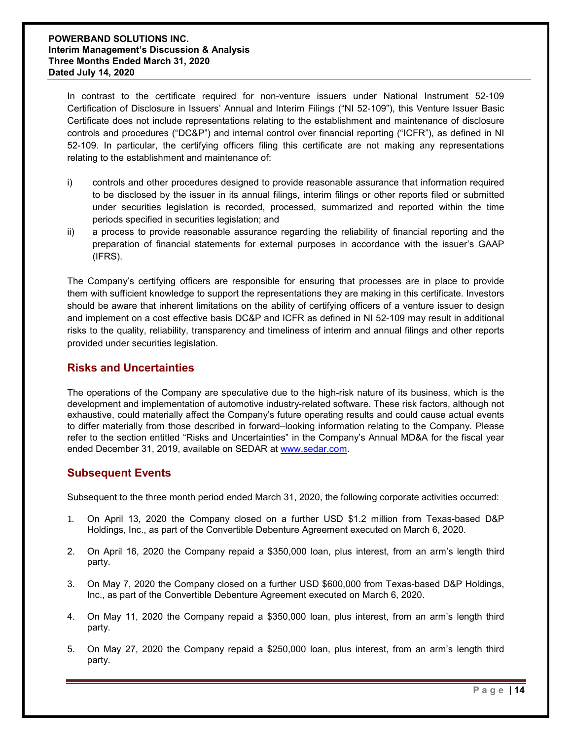In contrast to the certificate required for non-venture issuers under National Instrument 52-109 Certification of Disclosure in Issuers' Annual and Interim Filings ("NI 52-109"), this Venture Issuer Basic Certificate does not include representations relating to the establishment and maintenance of disclosure controls and procedures ("DC&P") and internal control over financial reporting ("ICFR"), as defined in NI 52-109. In particular, the certifying officers filing this certificate are not making any representations relating to the establishment and maintenance of:

- i) controls and other procedures designed to provide reasonable assurance that information required to be disclosed by the issuer in its annual filings, interim filings or other reports filed or submitted under securities legislation is recorded, processed, summarized and reported within the time periods specified in securities legislation; and
- ii) a process to provide reasonable assurance regarding the reliability of financial reporting and the preparation of financial statements for external purposes in accordance with the issuer's GAAP (IFRS).

The Company's certifying officers are responsible for ensuring that processes are in place to provide them with sufficient knowledge to support the representations they are making in this certificate. Investors should be aware that inherent limitations on the ability of certifying officers of a venture issuer to design and implement on a cost effective basis DC&P and ICFR as defined in NI 52-109 may result in additional risks to the quality, reliability, transparency and timeliness of interim and annual filings and other reports provided under securities legislation.

# **Risks and Uncertainties**

The operations of the Company are speculative due to the high-risk nature of its business, which is the development and implementation of automotive industry-related software. These risk factors, although not exhaustive, could materially affect the Company's future operating results and could cause actual events to differ materially from those described in forward–looking information relating to the Company. Please refer to the section entitled "Risks and Uncertainties" in the Company's Annual MD&A for the fiscal year ended December 31, 2019, available on SEDAR at www.sedar.com.

### **Subsequent Events**

Subsequent to the three month period ended March 31, 2020, the following corporate activities occurred:

- 1. On April 13, 2020 the Company closed on a further USD \$1.2 million from Texas-based D&P Holdings, Inc., as part of the Convertible Debenture Agreement executed on March 6, 2020.
- 2. On April 16, 2020 the Company repaid a \$350,000 loan, plus interest, from an arm's length third party.
- 3. On May 7, 2020 the Company closed on a further USD \$600,000 from Texas-based D&P Holdings, Inc., as part of the Convertible Debenture Agreement executed on March 6, 2020.
- 4. On May 11, 2020 the Company repaid a \$350,000 loan, plus interest, from an arm's length third party.
- 5. On May 27, 2020 the Company repaid a \$250,000 loan, plus interest, from an arm's length third party.